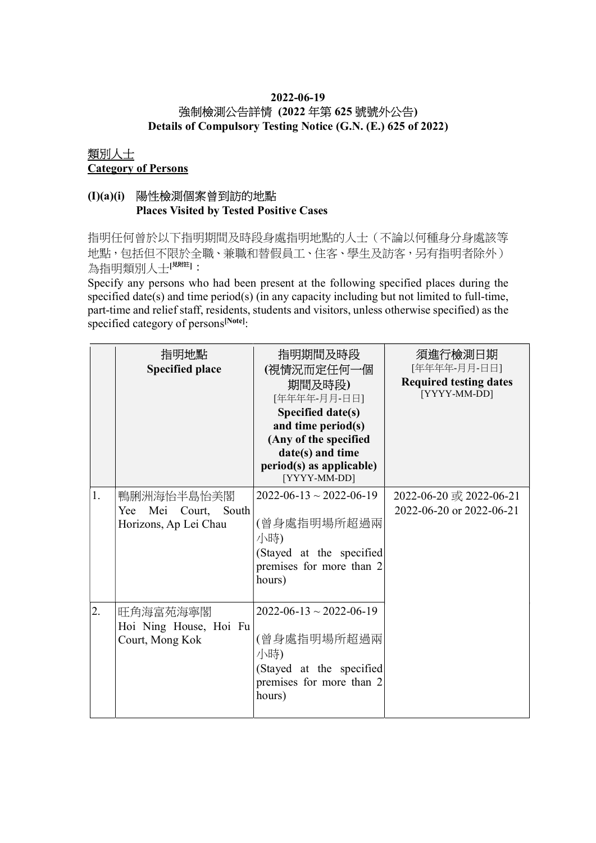## 2022-06-19 強制檢測公告詳情 (2022 年第 625 號號外公告)

Details of Compulsory Testing Notice (G.N. (E.) 625 of 2022)

#### 類別人士 Category of Persons

### (I)(a)(i) 陽性檢測個案曾到訪的地點 Places Visited by Tested Positive Cases

指明任何曾於以下指明期間及時段身處指明地點的人士(不論以何種身分身處該等 地點,包括但不限於全職、兼職和替假員工、住客、學生及訪客,另有指明者除外) 為指明類別人士[思詳]:

Specify any persons who had been present at the following specified places during the specified date(s) and time period(s) (in any capacity including but not limited to full-time, part-time and relief staff, residents, students and visitors, unless otherwise specified) as the specified category of persons<sup>[Note]</sup>:

|    | 指明地點<br><b>Specified place</b>                                 | 指明期間及時段<br>(視情況而定任何一個<br>期間及時段)<br>[年年年年-月月-日日]<br>Specified date(s)<br>and time period(s)<br>(Any of the specified<br>date(s) and time<br>period(s) as applicable)<br>[YYYY-MM-DD] | 須進行檢測日期<br>[年年年年-月月-日日]<br><b>Required testing dates</b><br>[YYYY-MM-DD] |
|----|----------------------------------------------------------------|-------------------------------------------------------------------------------------------------------------------------------------------------------------------------------------|--------------------------------------------------------------------------|
| 1. | 鴨脷洲海怡半島怡美閣<br>Yee Mei Court,<br>South<br>Horizons, Ap Lei Chau | $2022 - 06 - 13 \sim 2022 - 06 - 19$<br>(曾身處指明場所超過兩<br>小時)<br>(Stayed at the specified<br>premises for more than 2<br>hours)                                                        | 2022-06-20 或 2022-06-21<br>2022-06-20 or 2022-06-21                      |
| 2. | 旺角海富苑海寧閣<br>Hoi Ning House, Hoi Fu<br>Court, Mong Kok          | $2022 - 06 - 13 \approx 2022 - 06 - 19$<br>(曾身處指明場所超過兩<br>小時)<br>(Stayed at the specified<br>premises for more than 2<br>hours)                                                     |                                                                          |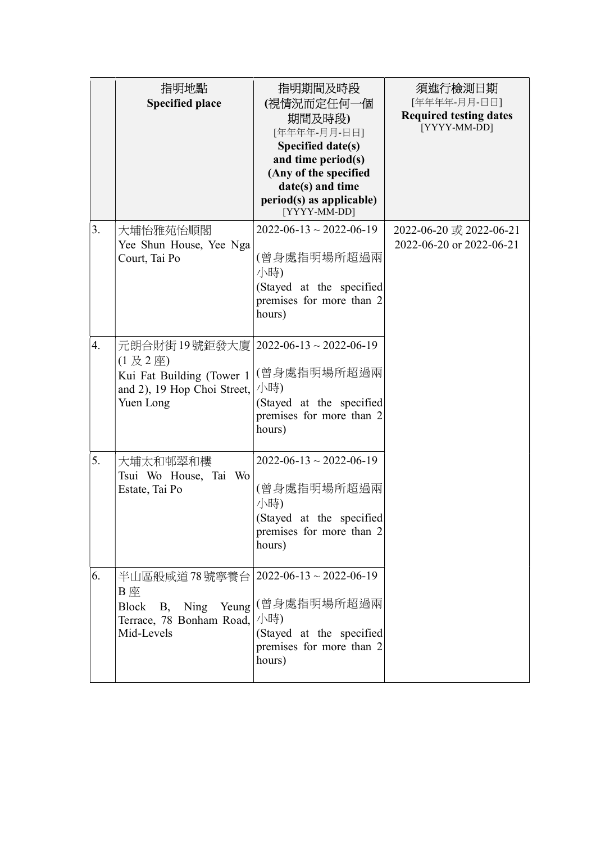|    | 指明地點<br><b>Specified place</b>                                                                                                            | 指明期間及時段<br>(視情況而定任何一個<br>期間及時段)<br>[年年年年-月月-日日]<br>Specified date(s)<br>and time period(s)<br>(Any of the specified<br>date(s) and time<br>period(s) as applicable)<br>[YYYY-MM-DD] | 須進行檢測日期<br>[年年年年-月月-日日]<br><b>Required testing dates</b><br>[YYYY-MM-DD] |
|----|-------------------------------------------------------------------------------------------------------------------------------------------|-------------------------------------------------------------------------------------------------------------------------------------------------------------------------------------|--------------------------------------------------------------------------|
| 3. | 大埔怡雅苑怡順閣<br>Yee Shun House, Yee Nga<br>Court, Tai Po                                                                                      | $2022 - 06 - 13 \sim 2022 - 06 - 19$<br>(曾身處指明場所超過兩<br>小時)<br>(Stayed at the specified<br>premises for more than 2<br>hours)                                                        | 2022-06-20 或 2022-06-21<br>2022-06-20 or 2022-06-21                      |
| 4. | 元朗合財街 19 號鉅發大廈 <br>$(1 \not\triangleright 2 \not\triangleright)$<br>Kui Fat Building (Tower 1<br>and 2), 19 Hop Choi Street,<br>Yuen Long | $2022 - 06 - 13 \sim 2022 - 06 - 19$<br>(曾身處指明場所超過兩<br>小時)<br>(Stayed at the specified<br>premises for more than 2<br>hours)                                                        |                                                                          |
| 5. | 大埔太和邨翠和樓<br>Tsui Wo House, Tai Wo<br>Estate, Tai Po                                                                                       | $2022 - 06 - 13 \approx 2022 - 06 - 19$<br>(曾身處指明場所超過兩<br>小時)<br>(Stayed at the specified<br>premises for more than 2<br>hours)                                                     |                                                                          |
| 6. | 半山區般咸道78號寧養台   2022-06-13~2022-06-19<br>B 座<br><b>Block</b><br>Ning<br><b>B</b> ,<br>Terrace, 78 Bonham Road,<br>Mid-Levels               | Yeung   (曾身處指明場所超過兩<br>小時)<br>(Stayed at the specified<br>premises for more than 2<br>hours)                                                                                        |                                                                          |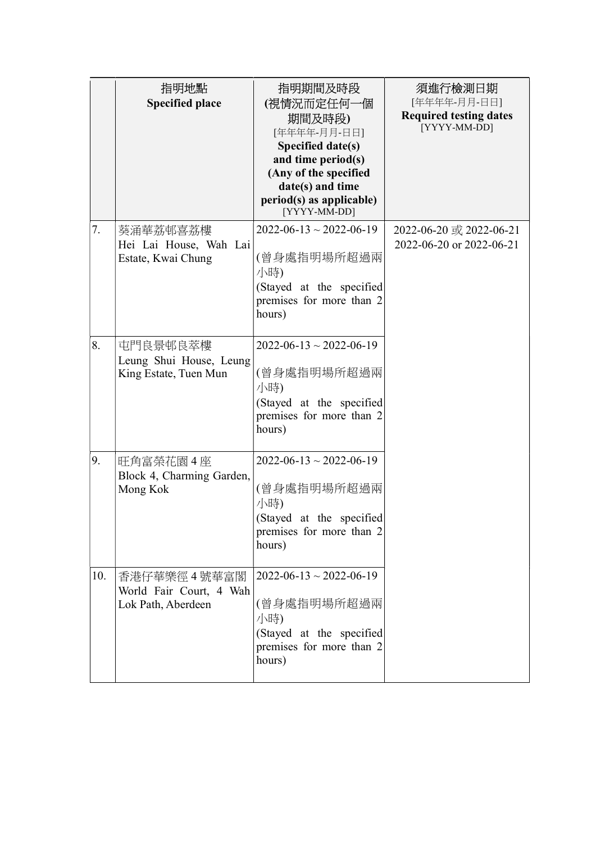|     | 指明地點<br><b>Specified place</b>                                 | 指明期間及時段<br>(視情況而定任何一個<br>期間及時段)<br>[年年年年-月月-日日]<br>Specified date(s)<br>and time period(s)<br>(Any of the specified<br>date(s) and time<br>period(s) as applicable)<br>[YYYY-MM-DD] | 須進行檢測日期<br>[年年年年-月月-日日]<br><b>Required testing dates</b><br>[YYYY-MM-DD] |
|-----|----------------------------------------------------------------|-------------------------------------------------------------------------------------------------------------------------------------------------------------------------------------|--------------------------------------------------------------------------|
| 7.  | 葵涌華荔邨喜荔樓<br>Hei Lai House, Wah Lai<br>Estate, Kwai Chung       | $2022 - 06 - 13 \sim 2022 - 06 - 19$<br>(曾身處指明場所超過兩<br>小時)<br>(Stayed at the specified<br>premises for more than 2<br>hours)                                                        | 2022-06-20 或 2022-06-21<br>2022-06-20 or 2022-06-21                      |
| 8.  | 屯門良景邨良萃樓<br>Leung Shui House, Leung<br>King Estate, Tuen Mun   | $2022 - 06 - 13 \approx 2022 - 06 - 19$<br>(曾身處指明場所超過兩<br>小時)<br>(Stayed at the specified<br>premises for more than 2<br>hours)                                                     |                                                                          |
| 9.  | 旺角富榮花園4座<br>Block 4, Charming Garden,<br>Mong Kok              | $2022 - 06 - 13 \sim 2022 - 06 - 19$<br>(曾身處指明場所超過兩<br>小時)<br>(Stayed at the specified<br>premises for more than 2<br>hours)                                                        |                                                                          |
| 10. | 香港仔華樂徑 4 號華富閣<br>World Fair Court, 4 Wah<br>Lok Path, Aberdeen | $2022 - 06 - 13 \sim 2022 - 06 - 19$<br>(曾身處指明場所超過兩<br>小時)<br>(Stayed at the specified<br>premises for more than 2<br>hours)                                                        |                                                                          |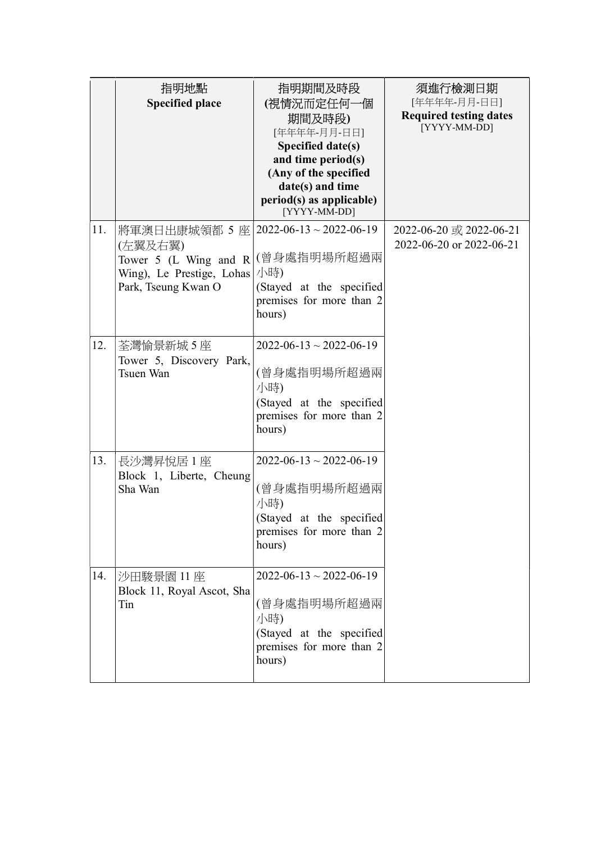|     | 指明地點<br><b>Specified place</b>                                                                        | 指明期間及時段<br>(視情況而定任何一個<br>期間及時段)<br>[年年年年-月月-日日]<br>Specified date(s)<br>and time period(s)<br>(Any of the specified<br>date(s) and time<br>period(s) as applicable)<br>[YYYY-MM-DD] | 須進行檢測日期<br>[年年年年-月月-日日]<br><b>Required testing dates</b><br>[YYYY-MM-DD] |
|-----|-------------------------------------------------------------------------------------------------------|-------------------------------------------------------------------------------------------------------------------------------------------------------------------------------------|--------------------------------------------------------------------------|
| 11. | 將軍澳日出康城領都 5 座<br>(左翼及右翼)<br>Tower 5 (L Wing and R<br>Wing), Le Prestige, Lohas<br>Park, Tseung Kwan O | $2022 - 06 - 13 \sim 2022 - 06 - 19$<br>(曾身處指明場所超過兩<br>小時)<br>(Stayed at the specified<br>premises for more than 2<br>hours)                                                        | 2022-06-20 或 2022-06-21<br>2022-06-20 or 2022-06-21                      |
| 12. | 荃灣愉景新城 5 座<br>Tower 5, Discovery Park,<br>Tsuen Wan                                                   | $2022 - 06 - 13 \sim 2022 - 06 - 19$<br>(曾身處指明場所超過兩<br>小時)<br>(Stayed at the specified<br>premises for more than 2<br>hours)                                                        |                                                                          |
| 13. | 長沙灣昇悅居 1 座<br>Block 1, Liberte, Cheung<br>Sha Wan                                                     | $2022 - 06 - 13 \sim 2022 - 06 - 19$<br>(曾身處指明場所超過兩<br>小時)<br>(Stayed at the specified<br>premises for more than 2<br>hours)                                                        |                                                                          |
| 14. | 沙田駿景園 11 座<br>Block 11, Royal Ascot, Sha<br>Tin                                                       | $2022 - 06 - 13 \sim 2022 - 06 - 19$<br>(曾身處指明場所超過兩<br>小時)<br>(Stayed at the specified<br>premises for more than 2<br>hours)                                                        |                                                                          |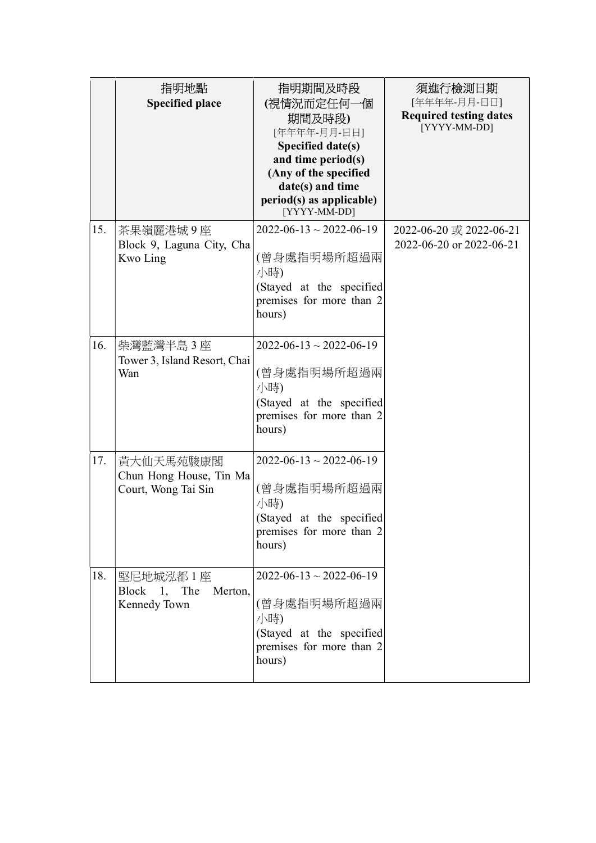|     | 指明地點<br><b>Specified place</b>                              | 指明期間及時段<br>(視情況而定任何一個<br>期間及時段)<br>[年年年年-月月-日日]<br>Specified date(s)<br>and time period(s)<br>(Any of the specified<br>date(s) and time<br>period(s) as applicable)<br>[YYYY-MM-DD] | 須進行檢測日期<br>[年年年年-月月-日日]<br><b>Required testing dates</b><br>[YYYY-MM-DD] |
|-----|-------------------------------------------------------------|-------------------------------------------------------------------------------------------------------------------------------------------------------------------------------------|--------------------------------------------------------------------------|
| 15. | 茶果嶺麗港城9座<br>Block 9, Laguna City, Cha<br>Kwo Ling           | $2022 - 06 - 13 \sim 2022 - 06 - 19$<br>(曾身處指明場所超過兩<br>小時)<br>(Stayed at the specified<br>premises for more than 2<br>hours)                                                        | 2022-06-20 或 2022-06-21<br>2022-06-20 or 2022-06-21                      |
| 16. | 柴灣藍灣半島3座<br>Tower 3, Island Resort, Chai<br>Wan             | $2022 - 06 - 13 \sim 2022 - 06 - 19$<br>(曾身處指明場所超過兩<br>小時)<br>(Stayed at the specified<br>premises for more than 2<br>hours)                                                        |                                                                          |
| 17. | 黃大仙天馬苑駿康閣<br>Chun Hong House, Tin Ma<br>Court, Wong Tai Sin | $2022 - 06 - 13 \sim 2022 - 06 - 19$<br>(曾身處指明場所超過兩<br>小時)<br>(Stayed at the specified<br>premises for more than 2<br>hours)                                                        |                                                                          |
| 18. | 堅尼地城泓都 1 座<br>Block 1, The<br>Merton,<br>Kennedy Town       | $2022 - 06 - 13 \sim 2022 - 06 - 19$<br>(曾身處指明場所超過兩<br>小時)<br>(Stayed at the specified<br>premises for more than 2<br>hours)                                                        |                                                                          |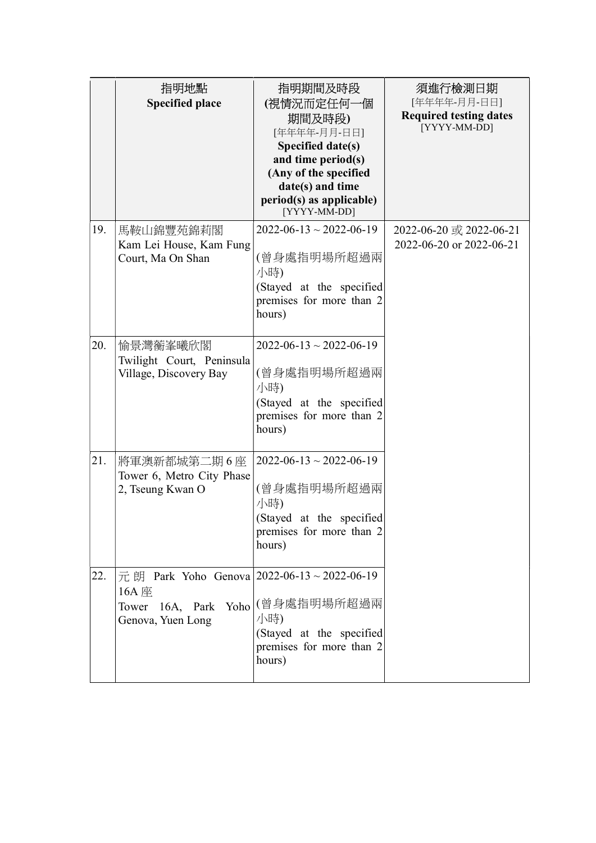|     | 指明地點<br><b>Specified place</b>                                                              | 指明期間及時段<br>(視情況而定任何一個<br>期間及時段)<br>[年年年年-月月-日日]<br>Specified date(s)<br>and time period(s)<br>(Any of the specified<br>date(s) and time<br>period(s) as applicable)<br>[YYYY-MM-DD] | 須進行檢測日期<br>[年年年年-月月-日日]<br><b>Required testing dates</b><br>[YYYY-MM-DD] |
|-----|---------------------------------------------------------------------------------------------|-------------------------------------------------------------------------------------------------------------------------------------------------------------------------------------|--------------------------------------------------------------------------|
| 19. | 馬鞍山錦豐苑錦莉閣<br>Kam Lei House, Kam Fung<br>Court, Ma On Shan                                   | $2022 - 06 - 13 \sim 2022 - 06 - 19$<br>(曾身處指明場所超過兩<br>小時)<br>(Stayed at the specified<br>premises for more than 2<br>hours)                                                        | 2022-06-20 或 2022-06-21<br>2022-06-20 or 2022-06-21                      |
| 20. | 愉景灣蘅峯曦欣閣<br>Twilight Court, Peninsula<br>Village, Discovery Bay                             | $2022 - 06 - 13 \sim 2022 - 06 - 19$<br>(曾身處指明場所超過兩<br>小時)<br>(Stayed at the specified<br>premises for more than 2<br>hours)                                                        |                                                                          |
| 21. | 將軍澳新都城第二期6座<br>Tower 6, Metro City Phase<br>2, Tseung Kwan O                                | $2022 - 06 - 13 \sim 2022 - 06 - 19$<br>(曾身處指明場所超過兩<br>小時)<br>(Stayed at the specified<br>premises for more than 2<br>hours)                                                        |                                                                          |
| 22. | 元 朗 Park Yoho Genova 2022-06-13~2022-06-19<br>16A 座<br>Tower 16A, Park<br>Genova, Yuen Long | Yoho (曾身處指明場所超過兩<br>小時)<br>(Stayed at the specified<br>premises for more than 2<br>hours)                                                                                           |                                                                          |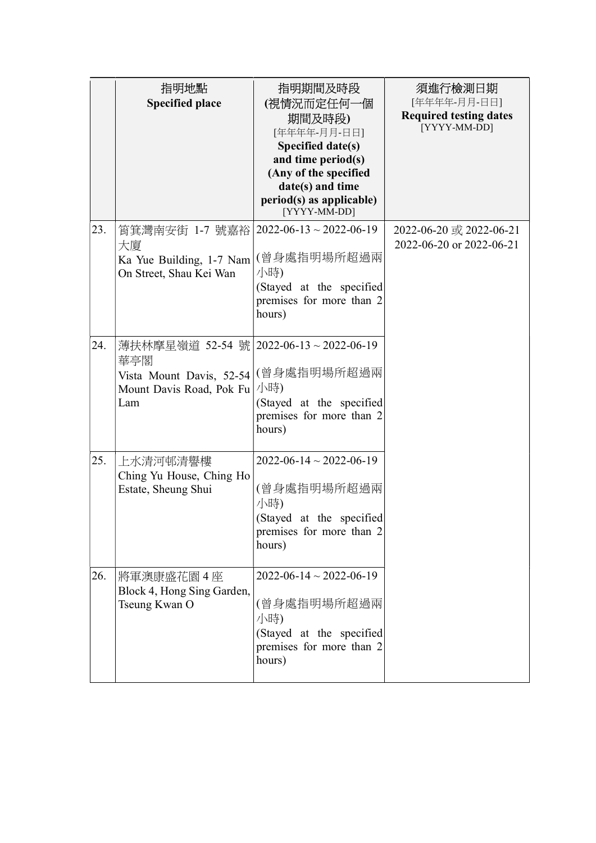|     | 指明地點<br><b>Specified place</b>                                                                              | 指明期間及時段<br>(視情況而定任何一個<br>期間及時段)<br>[年年年年-月月-日日]<br>Specified date(s)<br>and time period(s)<br>(Any of the specified<br>date(s) and time<br>period(s) as applicable)<br>[YYYY-MM-DD] | 須進行檢測日期<br>[年年年年-月月-日日]<br><b>Required testing dates</b><br>[YYYY-MM-DD] |
|-----|-------------------------------------------------------------------------------------------------------------|-------------------------------------------------------------------------------------------------------------------------------------------------------------------------------------|--------------------------------------------------------------------------|
| 23. | 筲箕灣南安街 1-7 號嘉裕<br>大廈<br>Ka Yue Building, 1-7 Nam<br>On Street, Shau Kei Wan                                 | $2022 - 06 - 13 \sim 2022 - 06 - 19$<br>(曾身處指明場所超過兩<br>小時)<br>(Stayed at the specified<br>premises for more than 2<br>hours)                                                        | 2022-06-20 或 2022-06-21<br>2022-06-20 or 2022-06-21                      |
| 24. | 薄扶林摩星嶺道 52-54 號 2022-06-13~2022-06-19<br>華亭閣<br>Vista Mount Davis, 52-54<br>Mount Davis Road, Pok Fu<br>Lam | (曾身處指明場所超過兩<br>小時)<br>(Stayed at the specified<br>premises for more than 2<br>hours)                                                                                                |                                                                          |
| 25. | 上水清河邨清譽樓<br>Ching Yu House, Ching Ho<br>Estate, Sheung Shui                                                 | $2022 - 06 - 14 \sim 2022 - 06 - 19$<br>(曾身處指明場所超過兩<br>小時)<br>(Stayed at the specified<br>premises for more than 2<br>hours)                                                        |                                                                          |
| 26. | 將軍澳康盛花園4座<br>Block 4, Hong Sing Garden,<br>Tseung Kwan O                                                    | $2022 - 06 - 14 \sim 2022 - 06 - 19$<br>(曾身處指明場所超過兩<br>小時)<br>(Stayed at the specified<br>premises for more than 2<br>hours)                                                        |                                                                          |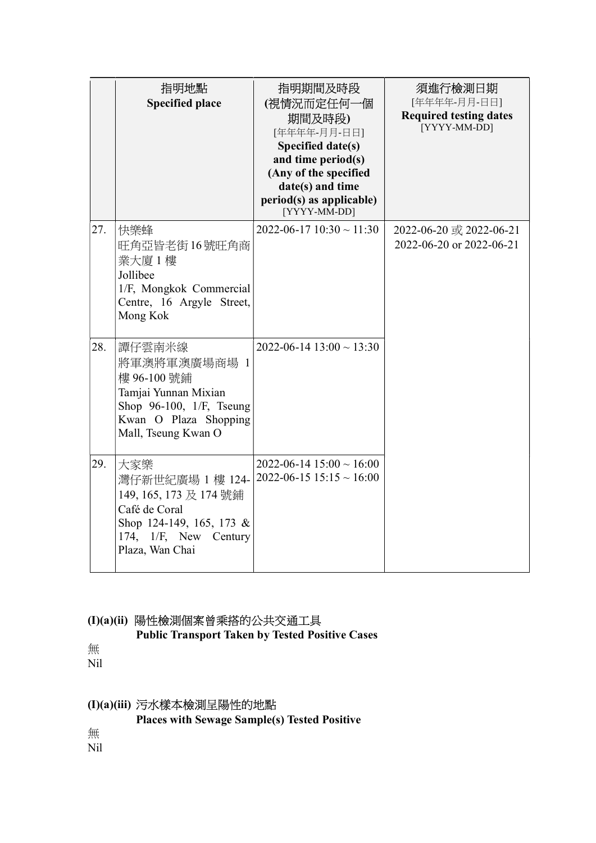|     | 指明地點<br><b>Specified place</b>                                                                                                             | 指明期間及時段<br>(視情況而定任何一個<br>期間及時段)<br>[年年年年-月月-日日]<br>Specified date(s)<br>and time period(s)<br>(Any of the specified<br>date(s) and time<br>period(s) as applicable)<br>[YYYY-MM-DD] | 須進行檢測日期<br>[年年年年-月月-日日]<br><b>Required testing dates</b><br>[YYYY-MM-DD] |
|-----|--------------------------------------------------------------------------------------------------------------------------------------------|-------------------------------------------------------------------------------------------------------------------------------------------------------------------------------------|--------------------------------------------------------------------------|
| 27. | 快樂蜂<br>旺角亞皆老街16號旺角商<br>業大廈1樓<br>Jollibee<br>1/F, Mongkok Commercial<br>Centre, 16 Argyle Street,<br>Mong Kok                               | $2022 - 06 - 17$ 10:30 ~ 11:30                                                                                                                                                      | 2022-06-20 或 2022-06-21<br>2022-06-20 or 2022-06-21                      |
| 28. | 譚仔雲南米線<br>將軍澳將軍澳廣場商場 1<br>樓 96-100號鋪<br>Tamjai Yunnan Mixian<br>Shop 96-100, 1/F, Tseung<br>Kwan O Plaza Shopping<br>Mall, Tseung Kwan O   | $2022 - 06 - 14$ 13:00 ~ 13:30                                                                                                                                                      |                                                                          |
| 29. | 大家樂<br>灣仔新世紀廣場 1 樓 124-<br>149, 165, 173 及 174 號鋪<br>Café de Coral<br>Shop 124-149, 165, 173 &<br>174, 1/F, New Century<br>Plaza, Wan Chai | $2022 - 06 - 14$ 15:00 ~ 16:00<br>$2022 - 06 - 15$ 15:15 ~ 16:00                                                                                                                    |                                                                          |

## (I)(a)(ii) 陽性檢測個案曾乘搭的公共交通工具

Public Transport Taken by Tested Positive Cases

無 Nil

#### (I)(a)(iii) 污水樣本檢測呈陽性的地點

Places with Sewage Sample(s) Tested Positive

無

Nil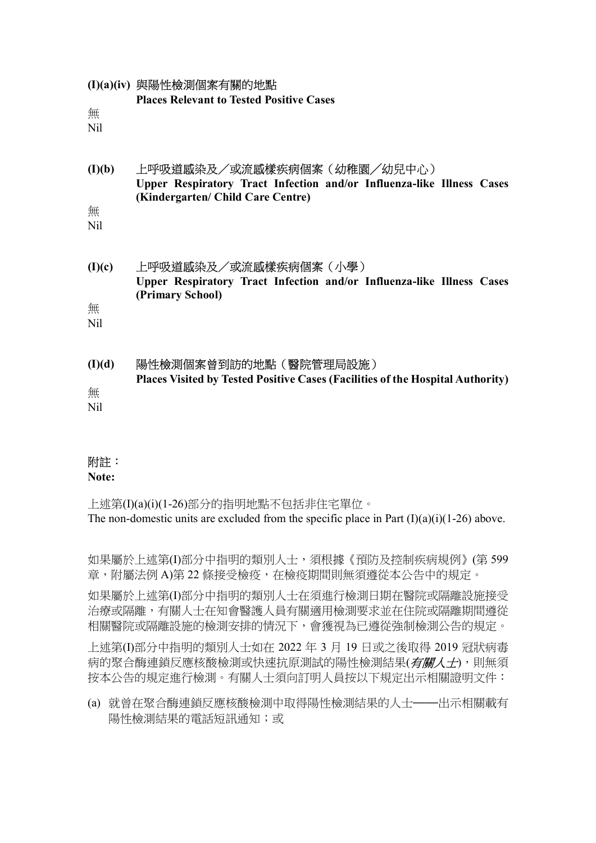| 無                  | (I)(a)(iv) 與陽性檢測個案有關的地點                                                                                 |
|--------------------|---------------------------------------------------------------------------------------------------------|
| Nil                | <b>Places Relevant to Tested Positive Cases</b>                                                         |
| (I)(b)             | 上呼吸道感染及/或流感樣疾病個案(幼稚園/幼兒中心)                                                                              |
| 無                  | Upper Respiratory Tract Infection and/or Influenza-like Illness Cases                                   |
| <b>Nil</b>         | (Kindergarten/ Child Care Centre)                                                                       |
| (I)(c)             | 上呼吸道感染及/或流感樣疾病個案(小學)                                                                                    |
| 無                  | Upper Respiratory Tract Infection and/or Influenza-like Illness Cases                                   |
| N <sub>il</sub>    | (Primary School)                                                                                        |
| (I)(d)<br>無<br>Nil | 陽性檢測個案曾到訪的地點(醫院管理局設施)<br>Places Visited by Tested Positive Cases (Facilities of the Hospital Authority) |

# 附註:

Note:

上述第(I)(a)(i)(1-26)部分的指明地點不包括非住宅單位。 The non-domestic units are excluded from the specific place in Part  $(I)(a)(i)(1-26)$  above.

如果屬於上述第(I)部分中指明的類別人士,須根據《預防及控制疾病規例》(第 599 章,附屬法例 A)第 22 條接受檢疫,在檢疫期間則無須遵從本公告中的規定。

如果屬於上述第(I)部分中指明的類別人士在須進行檢測日期在醫院或隔離設施接受 治療或隔離,有關人士在知會醫護人員有關適用檢測要求並在住院或隔離期間遵從 相關醫院或隔離設施的檢測安排的情況下,會獲視為已遵從強制檢測公告的規定。

上述第(I)部分中指明的類別人士如在 2022 年 3 月 19 日或之後取得 2019 冠狀病毒 病的聚合酶連鎖反應核酸檢測或快速抗原測試的陽性檢測結果(*有關人士*),則無須 按本公告的規定進行檢測。有關人士須向訂明人員按以下規定出示相關證明文件:

(a) 就曾在聚合酶連鎖反應核酸檢測中取得陽性檢測結果的人士——出示相關載有 陽性檢測結果的電話短訊通知;或